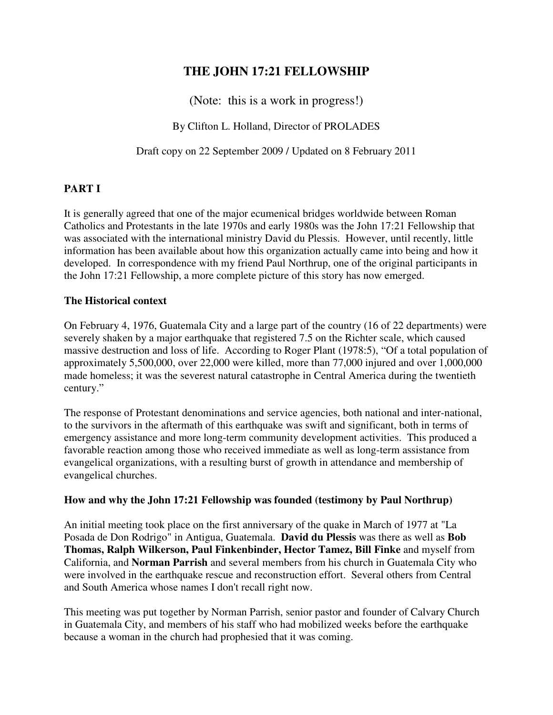# **THE JOHN 17:21 FELLOWSHIP**

(Note: this is a work in progress!)

By Clifton L. Holland, Director of PROLADES

Draft copy on 22 September 2009 / Updated on 8 February 2011

# **PART I**

It is generally agreed that one of the major ecumenical bridges worldwide between Roman Catholics and Protestants in the late 1970s and early 1980s was the John 17:21 Fellowship that was associated with the international ministry David du Plessis.However, until recently, little information has been available about how this organization actually came into being and how it developed. In correspondence with my friend Paul Northrup, one of the original participants in the John 17:21 Fellowship, a more complete picture of this story has now emerged.

# **The Historical context**

On February 4, 1976, Guatemala City and a large part of the country (16 of 22 departments) were severely shaken by a major earthquake that registered 7.5 on the Richter scale, which caused massive destruction and loss of life. According to Roger Plant (1978:5), "Of a total population of approximately 5,500,000, over 22,000 were killed, more than 77,000 injured and over 1,000,000 made homeless; it was the severest natural catastrophe in Central America during the twentieth century."

The response of Protestant denominations and service agencies, both national and inter-national, to the survivors in the aftermath of this earthquake was swift and significant, both in terms of emergency assistance and more long-term community development activities. This produced a favorable reaction among those who received immediate as well as long-term assistance from evangelical organizations, with a resulting burst of growth in attendance and membership of evangelical churches.

## **How and why the John 17:21 Fellowship was founded (testimony by Paul Northrup)**

An initial meeting took place on the first anniversary of the quake in March of 1977 at "La Posada de Don Rodrigo" in Antigua, Guatemala. **David du Plessis** was there as well as **Bob Thomas, Ralph Wilkerson, Paul Finkenbinder, Hector Tamez, Bill Finke** and myself from California, and **Norman Parrish** and several members from his church in Guatemala City who were involved in the earthquake rescue and reconstruction effort. Several others from Central and South America whose names I don't recall right now.

This meeting was put together by Norman Parrish, senior pastor and founder of Calvary Church in Guatemala City, and members of his staff who had mobilized weeks before the earthquake because a woman in the church had prophesied that it was coming.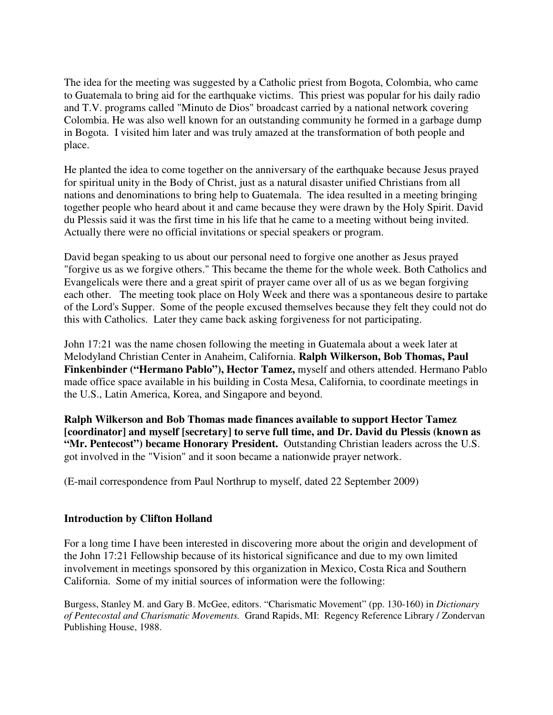The idea for the meeting was suggested by a Catholic priest from Bogota, Colombia, who came to Guatemala to bring aid for the earthquake victims. This priest was popular for his daily radio and T.V. programs called "Minuto de Dios" broadcast carried by a national network covering Colombia. He was also well known for an outstanding community he formed in a garbage dump in Bogota. I visited him later and was truly amazed at the transformation of both people and place.

He planted the idea to come together on the anniversary of the earthquake because Jesus prayed for spiritual unity in the Body of Christ, just as a natural disaster unified Christians from all nations and denominations to bring help to Guatemala. The idea resulted in a meeting bringing together people who heard about it and came because they were drawn by the Holy Spirit. David du Plessis said it was the first time in his life that he came to a meeting without being invited. Actually there were no official invitations or special speakers or program.

David began speaking to us about our personal need to forgive one another as Jesus prayed "forgive us as we forgive others." This became the theme for the whole week. Both Catholics and Evangelicals were there and a great spirit of prayer came over all of us as we began forgiving each other. The meeting took place on Holy Week and there was a spontaneous desire to partake of the Lord's Supper. Some of the people excused themselves because they felt they could not do this with Catholics. Later they came back asking forgiveness for not participating.

John 17:21 was the name chosen following the meeting in Guatemala about a week later at Melodyland Christian Center in Anaheim, California. **Ralph Wilkerson, Bob Thomas, Paul Finkenbinder ("Hermano Pablo"), Hector Tamez,** myself and others attended. Hermano Pablo made office space available in his building in Costa Mesa, California, to coordinate meetings in the U.S., Latin America, Korea, and Singapore and beyond.

**Ralph Wilkerson and Bob Thomas made finances available to support Hector Tamez [coordinator] and myself [secretary] to serve full time, and Dr. David du Plessis (known as "Mr. Pentecost") became Honorary President.** Outstanding Christian leaders across the U.S. got involved in the "Vision" and it soon became a nationwide prayer network.

(E-mail correspondence from Paul Northrup to myself, dated 22 September 2009)

## **Introduction by Clifton Holland**

For a long time I have been interested in discovering more about the origin and development of the John 17:21 Fellowship because of its historical significance and due to my own limited involvement in meetings sponsored by this organization in Mexico, Costa Rica and Southern California. Some of my initial sources of information were the following:

Burgess, Stanley M. and Gary B. McGee, editors. "Charismatic Movement" (pp. 130-160) in *Dictionary of Pentecostal and Charismatic Movements.* Grand Rapids, MI: Regency Reference Library / Zondervan Publishing House, 1988.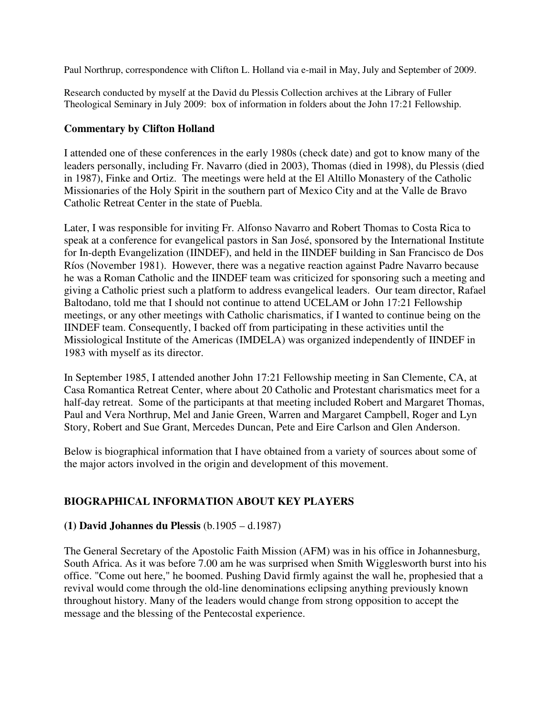Paul Northrup, correspondence with Clifton L. Holland via e-mail in May, July and September of 2009.

Research conducted by myself at the David du Plessis Collection archives at the Library of Fuller Theological Seminary in July 2009: box of information in folders about the John 17:21 Fellowship.

#### **Commentary by Clifton Holland**

I attended one of these conferences in the early 1980s (check date) and got to know many of the leaders personally, including Fr. Navarro (died in 2003), Thomas (died in 1998), du Plessis (died in 1987), Finke and Ortiz. The meetings were held at the El Altillo Monastery of the Catholic Missionaries of the Holy Spirit in the southern part of Mexico City and at the Valle de Bravo Catholic Retreat Center in the state of Puebla.

Later, I was responsible for inviting Fr. Alfonso Navarro and Robert Thomas to Costa Rica to speak at a conference for evangelical pastors in San José, sponsored by the International Institute for In-depth Evangelization (IINDEF), and held in the IINDEF building in San Francisco de Dos Ríos (November 1981). However, there was a negative reaction against Padre Navarro because he was a Roman Catholic and the IINDEF team was criticized for sponsoring such a meeting and giving a Catholic priest such a platform to address evangelical leaders. Our team director, Rafael Baltodano, told me that I should not continue to attend UCELAM or John 17:21 Fellowship meetings, or any other meetings with Catholic charismatics, if I wanted to continue being on the IINDEF team. Consequently, I backed off from participating in these activities until the Missiological Institute of the Americas (IMDELA) was organized independently of IINDEF in 1983 with myself as its director.

In September 1985, I attended another John 17:21 Fellowship meeting in San Clemente, CA, at Casa Romantica Retreat Center, where about 20 Catholic and Protestant charismatics meet for a half-day retreat. Some of the participants at that meeting included Robert and Margaret Thomas, Paul and Vera Northrup, Mel and Janie Green, Warren and Margaret Campbell, Roger and Lyn Story, Robert and Sue Grant, Mercedes Duncan, Pete and Eire Carlson and Glen Anderson.

Below is biographical information that I have obtained from a variety of sources about some of the major actors involved in the origin and development of this movement.

## **BIOGRAPHICAL INFORMATION ABOUT KEY PLAYERS**

## **(1) David Johannes du Plessis** (b.1905 – d.1987)

The General Secretary of the Apostolic Faith Mission (AFM) was in his office in Johannesburg, South Africa. As it was before 7.00 am he was surprised when Smith Wigglesworth burst into his office. "Come out here," he boomed. Pushing David firmly against the wall he, prophesied that a revival would come through the old-line denominations eclipsing anything previously known throughout history. Many of the leaders would change from strong opposition to accept the message and the blessing of the Pentecostal experience.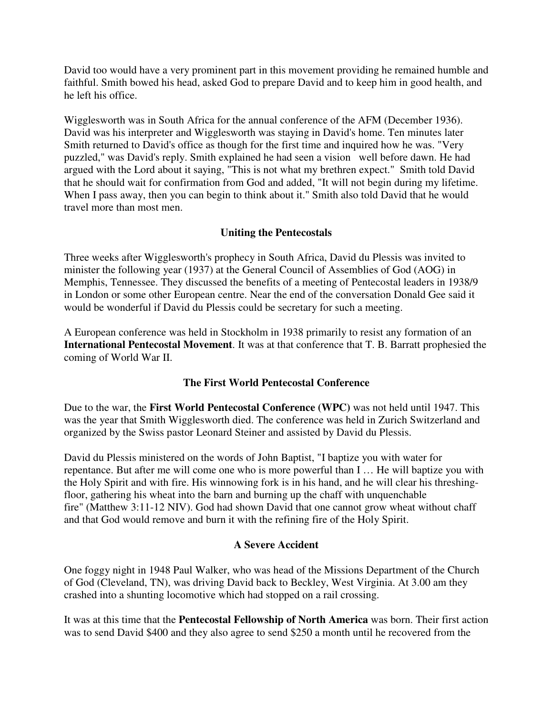David too would have a very prominent part in this movement providing he remained humble and faithful. Smith bowed his head, asked God to prepare David and to keep him in good health, and he left his office.

Wigglesworth was in South Africa for the annual conference of the AFM (December 1936). David was his interpreter and Wigglesworth was staying in David's home. Ten minutes later Smith returned to David's office as though for the first time and inquired how he was. "Very puzzled," was David's reply. Smith explained he had seen a vision well before dawn. He had argued with the Lord about it saying, "This is not what my brethren expect." Smith told David that he should wait for confirmation from God and added, "It will not begin during my lifetime. When I pass away, then you can begin to think about it." Smith also told David that he would travel more than most men.

# **Uniting the Pentecostals**

Three weeks after Wigglesworth's prophecy in South Africa, David du Plessis was invited to minister the following year (1937) at the General Council of Assemblies of God (AOG) in Memphis, Tennessee. They discussed the benefits of a meeting of Pentecostal leaders in 1938/9 in London or some other European centre. Near the end of the conversation Donald Gee said it would be wonderful if David du Plessis could be secretary for such a meeting.

A European conference was held in Stockholm in 1938 primarily to resist any formation of an **International Pentecostal Movement**. It was at that conference that T. B. Barratt prophesied the coming of World War II.

## **The First World Pentecostal Conference**

Due to the war, the **First World Pentecostal Conference (WPC)** was not held until 1947. This was the year that Smith Wigglesworth died. The conference was held in Zurich Switzerland and organized by the Swiss pastor Leonard Steiner and assisted by David du Plessis.

David du Plessis ministered on the words of John Baptist, "I baptize you with water for repentance. But after me will come one who is more powerful than I … He will baptize you with the Holy Spirit and with fire. His winnowing fork is in his hand, and he will clear his threshingfloor, gathering his wheat into the barn and burning up the chaff with unquenchable fire" (Matthew 3:11-12 NIV). God had shown David that one cannot grow wheat without chaff and that God would remove and burn it with the refining fire of the Holy Spirit.

## **A Severe Accident**

One foggy night in 1948 Paul Walker, who was head of the Missions Department of the Church of God (Cleveland, TN), was driving David back to Beckley, West Virginia. At 3.00 am they crashed into a shunting locomotive which had stopped on a rail crossing.

It was at this time that the **Pentecostal Fellowship of North America** was born. Their first action was to send David \$400 and they also agree to send \$250 a month until he recovered from the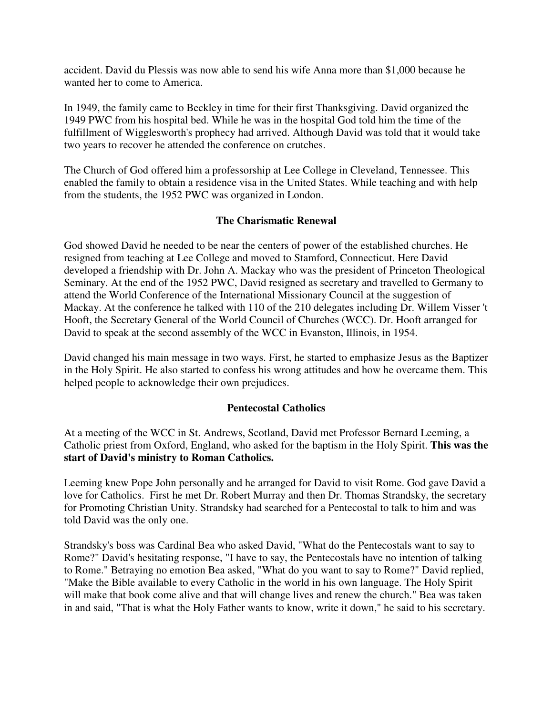accident. David du Plessis was now able to send his wife Anna more than \$1,000 because he wanted her to come to America.

In 1949, the family came to Beckley in time for their first Thanksgiving. David organized the 1949 PWC from his hospital bed. While he was in the hospital God told him the time of the fulfillment of Wigglesworth's prophecy had arrived. Although David was told that it would take two years to recover he attended the conference on crutches.

The Church of God offered him a professorship at Lee College in Cleveland, Tennessee. This enabled the family to obtain a residence visa in the United States. While teaching and with help from the students, the 1952 PWC was organized in London.

## **The Charismatic Renewal**

God showed David he needed to be near the centers of power of the established churches. He resigned from teaching at Lee College and moved to Stamford, Connecticut. Here David developed a friendship with Dr. John A. Mackay who was the president of Princeton Theological Seminary. At the end of the 1952 PWC, David resigned as secretary and travelled to Germany to attend the World Conference of the International Missionary Council at the suggestion of Mackay. At the conference he talked with 110 of the 210 delegates including Dr. Willem Visser 't Hooft, the Secretary General of the World Council of Churches (WCC). Dr. Hooft arranged for David to speak at the second assembly of the WCC in Evanston, Illinois, in 1954.

David changed his main message in two ways. First, he started to emphasize Jesus as the Baptizer in the Holy Spirit. He also started to confess his wrong attitudes and how he overcame them. This helped people to acknowledge their own prejudices.

## **Pentecostal Catholics**

At a meeting of the WCC in St. Andrews, Scotland, David met Professor Bernard Leeming, a Catholic priest from Oxford, England, who asked for the baptism in the Holy Spirit. **This was the start of David's ministry to Roman Catholics.**

Leeming knew Pope John personally and he arranged for David to visit Rome. God gave David a love for Catholics. First he met Dr. Robert Murray and then Dr. Thomas Strandsky, the secretary for Promoting Christian Unity. Strandsky had searched for a Pentecostal to talk to him and was told David was the only one.

Strandsky's boss was Cardinal Bea who asked David, "What do the Pentecostals want to say to Rome?" David's hesitating response, "I have to say, the Pentecostals have no intention of talking to Rome." Betraying no emotion Bea asked, "What do you want to say to Rome?" David replied, "Make the Bible available to every Catholic in the world in his own language. The Holy Spirit will make that book come alive and that will change lives and renew the church." Bea was taken in and said, "That is what the Holy Father wants to know, write it down," he said to his secretary.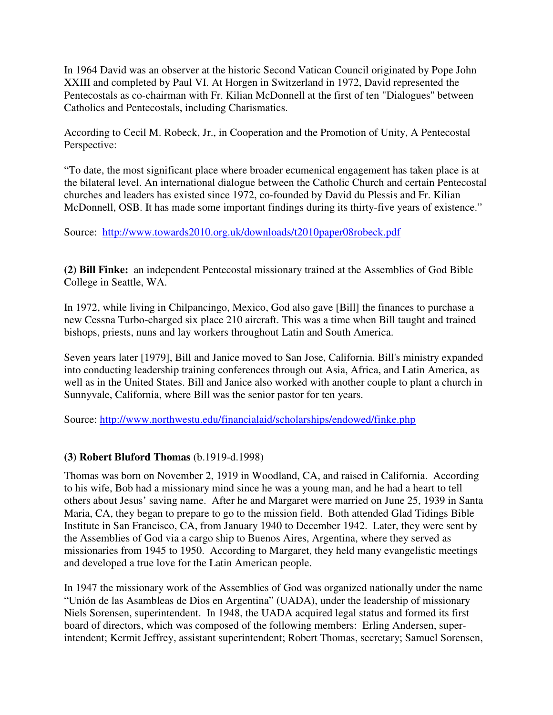In 1964 David was an observer at the historic Second Vatican Council originated by Pope John XXIII and completed by Paul VI. At Horgen in Switzerland in 1972, David represented the Pentecostals as co-chairman with Fr. Kilian McDonnell at the first of ten "Dialogues" between Catholics and Pentecostals, including Charismatics.

According to Cecil M. Robeck, Jr., in Cooperation and the Promotion of Unity, A Pentecostal Perspective:

"To date, the most significant place where broader ecumenical engagement has taken place is at the bilateral level. An international dialogue between the Catholic Church and certain Pentecostal churches and leaders has existed since 1972, co-founded by David du Plessis and Fr. Kilian McDonnell, OSB. It has made some important findings during its thirty-five years of existence."

Source: http://www.towards2010.org.uk/downloads/t2010paper08robeck.pdf

**(2) Bill Finke:** an independent Pentecostal missionary trained at the Assemblies of God Bible College in Seattle, WA.

In 1972, while living in Chilpancingo, Mexico, God also gave [Bill] the finances to purchase a new Cessna Turbo-charged six place 210 aircraft. This was a time when Bill taught and trained bishops, priests, nuns and lay workers throughout Latin and South America.

Seven years later [1979], Bill and Janice moved to San Jose, California. Bill's ministry expanded into conducting leadership training conferences through out Asia, Africa, and Latin America, as well as in the United States. Bill and Janice also worked with another couple to plant a church in Sunnyvale, California, where Bill was the senior pastor for ten years.

Source: http://www.northwestu.edu/financialaid/scholarships/endowed/finke.php

## **(3) Robert Bluford Thomas** (b.1919-d.1998)

Thomas was born on November 2, 1919 in Woodland, CA, and raised in California. According to his wife, Bob had a missionary mind since he was a young man, and he had a heart to tell others about Jesus' saving name. After he and Margaret were married on June 25, 1939 in Santa Maria, CA, they began to prepare to go to the mission field. Both attended Glad Tidings Bible Institute in San Francisco, CA, from January 1940 to December 1942. Later, they were sent by the Assemblies of God via a cargo ship to Buenos Aires, Argentina, where they served as missionaries from 1945 to 1950. According to Margaret, they held many evangelistic meetings and developed a true love for the Latin American people.

In 1947 the missionary work of the Assemblies of God was organized nationally under the name "Unión de las Asambleas de Dios en Argentina" (UADA), under the leadership of missionary Niels Sorensen, superintendent. In 1948, the UADA acquired legal status and formed its first board of directors, which was composed of the following members: Erling Andersen, superintendent; Kermit Jeffrey, assistant superintendent; Robert Thomas, secretary; Samuel Sorensen,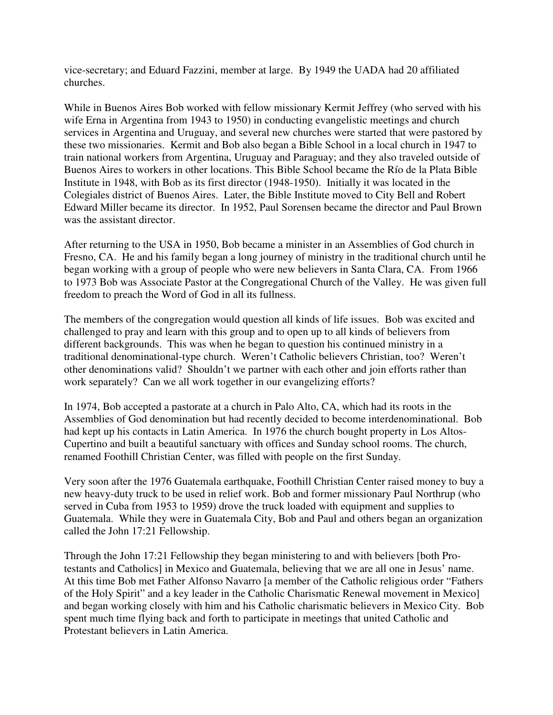vice-secretary; and Eduard Fazzini, member at large. By 1949 the UADA had 20 affiliated churches.

While in Buenos Aires Bob worked with fellow missionary Kermit Jeffrey (who served with his wife Erna in Argentina from 1943 to 1950) in conducting evangelistic meetings and church services in Argentina and Uruguay, and several new churches were started that were pastored by these two missionaries. Kermit and Bob also began a Bible School in a local church in 1947 to train national workers from Argentina, Uruguay and Paraguay; and they also traveled outside of Buenos Aires to workers in other locations. This Bible School became the Río de la Plata Bible Institute in 1948, with Bob as its first director (1948-1950). Initially it was located in the Colegiales district of Buenos Aires. Later, the Bible Institute moved to City Bell and Robert Edward Miller became its director. In 1952, Paul Sorensen became the director and Paul Brown was the assistant director.

After returning to the USA in 1950, Bob became a minister in an Assemblies of God church in Fresno, CA. He and his family began a long journey of ministry in the traditional church until he began working with a group of people who were new believers in Santa Clara, CA. From 1966 to 1973 Bob was Associate Pastor at the Congregational Church of the Valley. He was given full freedom to preach the Word of God in all its fullness.

The members of the congregation would question all kinds of life issues. Bob was excited and challenged to pray and learn with this group and to open up to all kinds of believers from different backgrounds. This was when he began to question his continued ministry in a traditional denominational-type church. Weren't Catholic believers Christian, too? Weren't other denominations valid? Shouldn't we partner with each other and join efforts rather than work separately? Can we all work together in our evangelizing efforts?

In 1974, Bob accepted a pastorate at a church in Palo Alto, CA, which had its roots in the Assemblies of God denomination but had recently decided to become interdenominational. Bob had kept up his contacts in Latin America. In 1976 the church bought property in Los Altos-Cupertino and built a beautiful sanctuary with offices and Sunday school rooms. The church, renamed Foothill Christian Center, was filled with people on the first Sunday.

Very soon after the 1976 Guatemala earthquake, Foothill Christian Center raised money to buy a new heavy-duty truck to be used in relief work. Bob and former missionary Paul Northrup (who served in Cuba from 1953 to 1959) drove the truck loaded with equipment and supplies to Guatemala. While they were in Guatemala City, Bob and Paul and others began an organization called the John 17:21 Fellowship.

Through the John 17:21 Fellowship they began ministering to and with believers [both Protestants and Catholics] in Mexico and Guatemala, believing that we are all one in Jesus' name. At this time Bob met Father Alfonso Navarro [a member of the Catholic religious order "Fathers of the Holy Spirit" and a key leader in the Catholic Charismatic Renewal movement in Mexico] and began working closely with him and his Catholic charismatic believers in Mexico City. Bob spent much time flying back and forth to participate in meetings that united Catholic and Protestant believers in Latin America.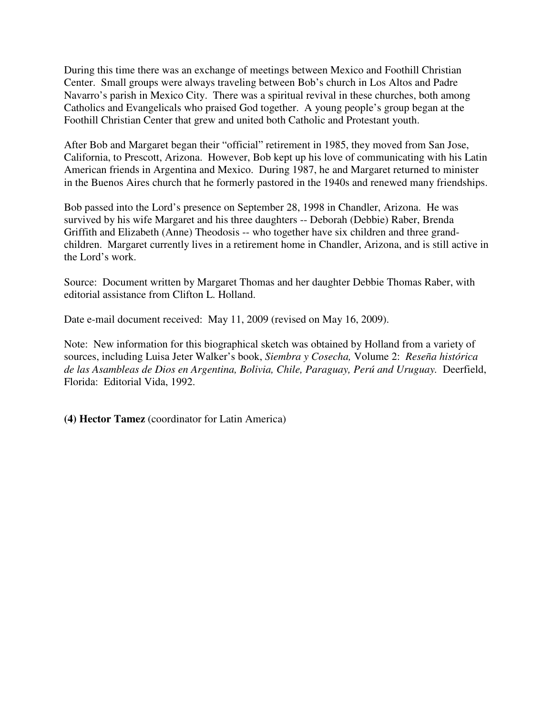During this time there was an exchange of meetings between Mexico and Foothill Christian Center. Small groups were always traveling between Bob's church in Los Altos and Padre Navarro's parish in Mexico City. There was a spiritual revival in these churches, both among Catholics and Evangelicals who praised God together. A young people's group began at the Foothill Christian Center that grew and united both Catholic and Protestant youth.

After Bob and Margaret began their "official" retirement in 1985, they moved from San Jose, California, to Prescott, Arizona. However, Bob kept up his love of communicating with his Latin American friends in Argentina and Mexico. During 1987, he and Margaret returned to minister in the Buenos Aires church that he formerly pastored in the 1940s and renewed many friendships.

Bob passed into the Lord's presence on September 28, 1998 in Chandler, Arizona. He was survived by his wife Margaret and his three daughters -- Deborah (Debbie) Raber, Brenda Griffith and Elizabeth (Anne) Theodosis -- who together have six children and three grandchildren.Margaret currently lives in a retirement home in Chandler, Arizona, and is still active in the Lord's work.

Source: Document written by Margaret Thomas and her daughter Debbie Thomas Raber, with editorial assistance from Clifton L. Holland.

Date e-mail document received: May 11, 2009 (revised on May 16, 2009).

Note: New information for this biographical sketch was obtained by Holland from a variety of sources, including Luisa Jeter Walker's book, *Siembra y Cosecha,* Volume 2: *Reseña histórica de las Asambleas de Dios en Argentina, Bolivia, Chile, Paraguay, Perú and Uruguay.* Deerfield, Florida: Editorial Vida, 1992.

**(4) Hector Tamez** (coordinator for Latin America)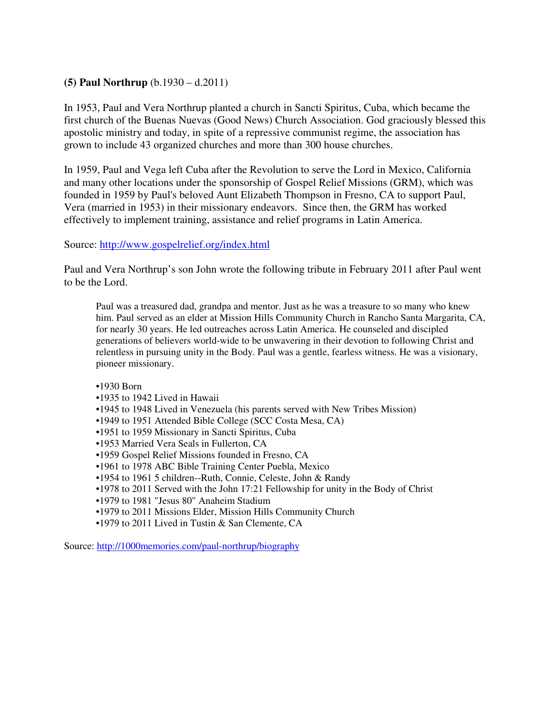## **(5) Paul Northrup** (b.1930 – d.2011)

In 1953, Paul and Vera Northrup planted a church in Sancti Spiritus, Cuba, which became the first church of the Buenas Nuevas (Good News) Church Association. God graciously blessed this apostolic ministry and today, in spite of a repressive communist regime, the association has grown to include 43 organized churches and more than 300 house churches.

In 1959, Paul and Vega left Cuba after the Revolution to serve the Lord in Mexico, California and many other locations under the sponsorship of Gospel Relief Missions (GRM), which was founded in 1959 by Paul's beloved Aunt Elizabeth Thompson in Fresno, CA to support Paul, Vera (married in 1953) in their missionary endeavors. Since then, the GRM has worked effectively to implement training, assistance and relief programs in Latin America.

#### Source: http://www.gospelrelief.org/index.html

Paul and Vera Northrup's son John wrote the following tribute in February 2011 after Paul went to be the Lord.

Paul was a treasured dad, grandpa and mentor. Just as he was a treasure to so many who knew him. Paul served as an elder at Mission Hills Community Church in Rancho Santa Margarita, CA, for nearly 30 years. He led outreaches across Latin America. He counseled and discipled generations of believers world-wide to be unwavering in their devotion to following Christ and relentless in pursuing unity in the Body. Paul was a gentle, fearless witness. He was a visionary, pioneer missionary.

•1930 Born •1935 to 1942 Lived in Hawaii •1945 to 1948 Lived in Venezuela (his parents served with New Tribes Mission) •1949 to 1951 Attended Bible College (SCC Costa Mesa, CA)

- •1951 to 1959 Missionary in Sancti Spiritus, Cuba
- •1953 Married Vera Seals in Fullerton, CA
- •1959 Gospel Relief Missions founded in Fresno, CA
- •1961 to 1978 ABC Bible Training Center Puebla, Mexico
- •1954 to 1961 5 children--Ruth, Connie, Celeste, John & Randy
- •1978 to 2011 Served with the John 17:21 Fellowship for unity in the Body of Christ
- •1979 to 1981 "Jesus 80" Anaheim Stadium
- •1979 to 2011 Missions Elder, Mission Hills Community Church
- •1979 to 2011 Lived in Tustin & San Clemente, CA

Source: http://1000memories.com/paul-northrup/biography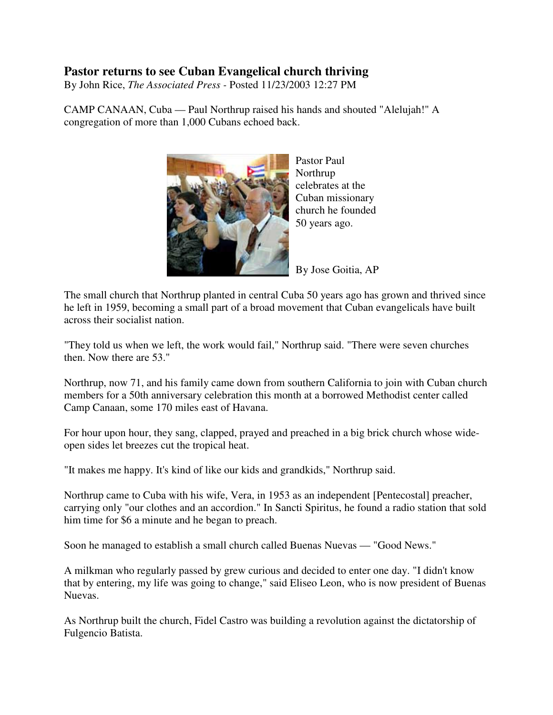# **Pastor returns to see Cuban Evangelical church thriving**

By John Rice, *The Associated Press -* Posted 11/23/2003 12:27 PM

CAMP CANAAN, Cuba — Paul Northrup raised his hands and shouted "Alelujah!" A congregation of more than 1,000 Cubans echoed back.



Pastor Paul Northrup celebrates at the Cuban missionary church he founded 50 years ago.

By Jose Goitia, AP

The small church that Northrup planted in central Cuba 50 years ago has grown and thrived since he left in 1959, becoming a small part of a broad movement that Cuban evangelicals have built across their socialist nation.

"They told us when we left, the work would fail," Northrup said. "There were seven churches then. Now there are 53."

Northrup, now 71, and his family came down from southern California to join with Cuban church members for a 50th anniversary celebration this month at a borrowed Methodist center called Camp Canaan, some 170 miles east of Havana.

For hour upon hour, they sang, clapped, prayed and preached in a big brick church whose wideopen sides let breezes cut the tropical heat.

"It makes me happy. It's kind of like our kids and grandkids," Northrup said.

Northrup came to Cuba with his wife, Vera, in 1953 as an independent [Pentecostal] preacher, carrying only "our clothes and an accordion." In Sancti Spiritus, he found a radio station that sold him time for \$6 a minute and he began to preach.

Soon he managed to establish a small church called Buenas Nuevas — "Good News."

A milkman who regularly passed by grew curious and decided to enter one day. "I didn't know that by entering, my life was going to change," said Eliseo Leon, who is now president of Buenas Nuevas.

As Northrup built the church, Fidel Castro was building a revolution against the dictatorship of Fulgencio Batista.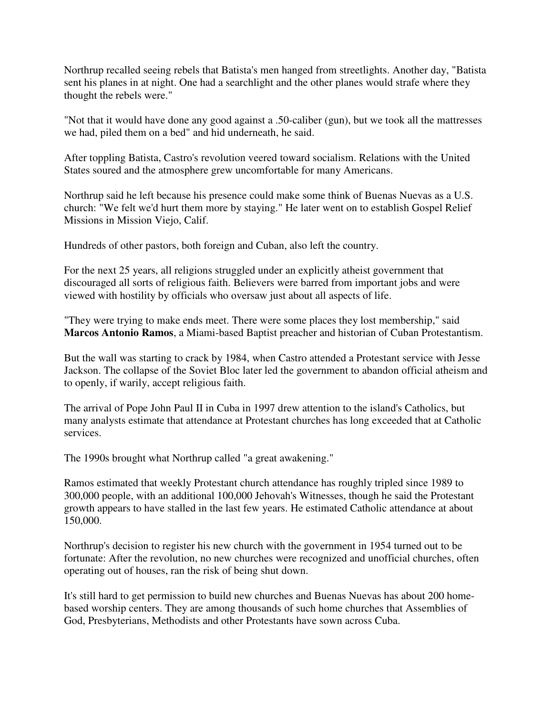Northrup recalled seeing rebels that Batista's men hanged from streetlights. Another day, "Batista sent his planes in at night. One had a searchlight and the other planes would strafe where they thought the rebels were."

"Not that it would have done any good against a .50-caliber (gun), but we took all the mattresses we had, piled them on a bed" and hid underneath, he said.

After toppling Batista, Castro's revolution veered toward socialism. Relations with the United States soured and the atmosphere grew uncomfortable for many Americans.

Northrup said he left because his presence could make some think of Buenas Nuevas as a U.S. church: "We felt we'd hurt them more by staying." He later went on to establish Gospel Relief Missions in Mission Viejo, Calif.

Hundreds of other pastors, both foreign and Cuban, also left the country.

For the next 25 years, all religions struggled under an explicitly atheist government that discouraged all sorts of religious faith. Believers were barred from important jobs and were viewed with hostility by officials who oversaw just about all aspects of life.

"They were trying to make ends meet. There were some places they lost membership," said **Marcos Antonio Ramos**, a Miami-based Baptist preacher and historian of Cuban Protestantism.

But the wall was starting to crack by 1984, when Castro attended a Protestant service with Jesse Jackson. The collapse of the Soviet Bloc later led the government to abandon official atheism and to openly, if warily, accept religious faith.

The arrival of Pope John Paul II in Cuba in 1997 drew attention to the island's Catholics, but many analysts estimate that attendance at Protestant churches has long exceeded that at Catholic services.

The 1990s brought what Northrup called "a great awakening."

Ramos estimated that weekly Protestant church attendance has roughly tripled since 1989 to 300,000 people, with an additional 100,000 Jehovah's Witnesses, though he said the Protestant growth appears to have stalled in the last few years. He estimated Catholic attendance at about 150,000.

Northrup's decision to register his new church with the government in 1954 turned out to be fortunate: After the revolution, no new churches were recognized and unofficial churches, often operating out of houses, ran the risk of being shut down.

It's still hard to get permission to build new churches and Buenas Nuevas has about 200 homebased worship centers. They are among thousands of such home churches that Assemblies of God, Presbyterians, Methodists and other Protestants have sown across Cuba.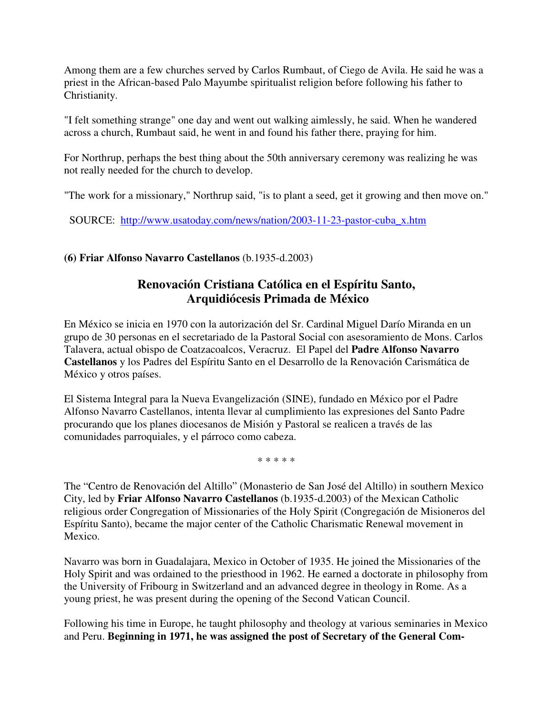Among them are a few churches served by Carlos Rumbaut, of Ciego de Avila. He said he was a priest in the African-based Palo Mayumbe spiritualist religion before following his father to Christianity.

"I felt something strange" one day and went out walking aimlessly, he said. When he wandered across a church, Rumbaut said, he went in and found his father there, praying for him.

For Northrup, perhaps the best thing about the 50th anniversary ceremony was realizing he was not really needed for the church to develop.

"The work for a missionary," Northrup said, "is to plant a seed, get it growing and then move on."

SOURCE: http://www.usatoday.com/news/nation/2003-11-23-pastor-cuba\_x.htm

# **(6) Friar Alfonso Navarro Castellanos** (b.1935-d.2003)

# **Renovación Cristiana Católica en el Espíritu Santo, Arquidiócesis Primada de México**

En México se inicia en 1970 con la autorización del Sr. Cardinal Miguel Darío Miranda en un grupo de 30 personas en el secretariado de la Pastoral Social con asesoramiento de Mons. Carlos Talavera, actual obispo de Coatzacoalcos, Veracruz. El Papel del **Padre Alfonso Navarro Castellanos** y los Padres del Espíritu Santo en el Desarrollo de la Renovación Carismática de México y otros países.

El Sistema Integral para la Nueva Evangelización (SINE), fundado en México por el Padre Alfonso Navarro Castellanos, intenta llevar al cumplimiento las expresiones del Santo Padre procurando que los planes diocesanos de Misión y Pastoral se realicen a través de las comunidades parroquiales, y el párroco como cabeza.

\* \* \* \* \*

The "Centro de Renovación del Altillo" (Monasterio de San José del Altillo) in southern Mexico City, led by **Friar Alfonso Navarro Castellanos** (b.1935-d.2003) of the Mexican Catholic religious order Congregation of Missionaries of the Holy Spirit (Congregación de Misioneros del Espíritu Santo), became the major center of the Catholic Charismatic Renewal movement in Mexico.

Navarro was born in Guadalajara, Mexico in October of 1935. He joined the Missionaries of the Holy Spirit and was ordained to the priesthood in 1962. He earned a doctorate in philosophy from the University of Fribourg in Switzerland and an advanced degree in theology in Rome. As a young priest, he was present during the opening of the Second Vatican Council.

Following his time in Europe, he taught philosophy and theology at various seminaries in Mexico and Peru. **Beginning in 1971, he was assigned the post of Secretary of the General Com-**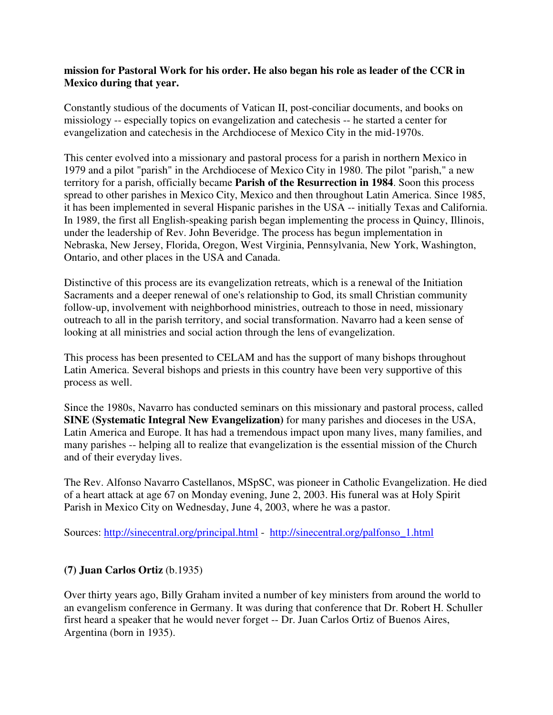#### **mission for Pastoral Work for his order. He also began his role as leader of the CCR in Mexico during that year.**

Constantly studious of the documents of Vatican II, post-conciliar documents, and books on missiology -- especially topics on evangelization and catechesis -- he started a center for evangelization and catechesis in the Archdiocese of Mexico City in the mid-1970s.

This center evolved into a missionary and pastoral process for a parish in northern Mexico in 1979 and a pilot "parish" in the Archdiocese of Mexico City in 1980. The pilot "parish," a new territory for a parish, officially became **Parish of the Resurrection in 1984**. Soon this process spread to other parishes in Mexico City, Mexico and then throughout Latin America. Since 1985, it has been implemented in several Hispanic parishes in the USA -- initially Texas and California. In 1989, the first all English-speaking parish began implementing the process in Quincy, Illinois, under the leadership of Rev. John Beveridge. The process has begun implementation in Nebraska, New Jersey, Florida, Oregon, West Virginia, Pennsylvania, New York, Washington, Ontario, and other places in the USA and Canada.

Distinctive of this process are its evangelization retreats, which is a renewal of the Initiation Sacraments and a deeper renewal of one's relationship to God, its small Christian community follow-up, involvement with neighborhood ministries, outreach to those in need, missionary outreach to all in the parish territory, and social transformation. Navarro had a keen sense of looking at all ministries and social action through the lens of evangelization.

This process has been presented to CELAM and has the support of many bishops throughout Latin America. Several bishops and priests in this country have been very supportive of this process as well.

Since the 1980s, Navarro has conducted seminars on this missionary and pastoral process, called **SINE (Systematic Integral New Evangelization)** for many parishes and dioceses in the USA, Latin America and Europe. It has had a tremendous impact upon many lives, many families, and many parishes -- helping all to realize that evangelization is the essential mission of the Church and of their everyday lives.

The Rev. Alfonso Navarro Castellanos, MSpSC, was pioneer in Catholic Evangelization. He died of a heart attack at age 67 on Monday evening, June 2, 2003. His funeral was at Holy Spirit Parish in Mexico City on Wednesday, June 4, 2003, where he was a pastor.

Sources: http://sinecentral.org/principal.html - http://sinecentral.org/palfonso\_1.html

## **(7) Juan Carlos Ortiz** (b.1935)

Over thirty years ago, Billy Graham invited a number of key ministers from around the world to an evangelism conference in Germany. It was during that conference that Dr. Robert H. Schuller first heard a speaker that he would never forget -- Dr. Juan Carlos Ortiz of Buenos Aires, Argentina (born in 1935).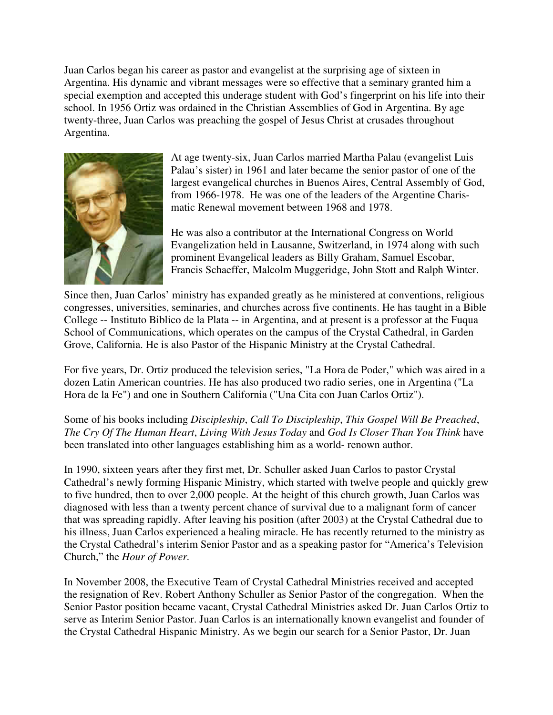Juan Carlos began his career as pastor and evangelist at the surprising age of sixteen in Argentina. His dynamic and vibrant messages were so effective that a seminary granted him a special exemption and accepted this underage student with God's fingerprint on his life into their school. In 1956 Ortiz was ordained in the Christian Assemblies of God in Argentina. By age twenty-three, Juan Carlos was preaching the gospel of Jesus Christ at crusades throughout Argentina.



At age twenty-six, Juan Carlos married Martha Palau (evangelist Luis Palau's sister) in 1961 and later became the senior pastor of one of the largest evangelical churches in Buenos Aires, Central Assembly of God, from 1966-1978. He was one of the leaders of the Argentine Charismatic Renewal movement between 1968 and 1978.

He was also a contributor at the International Congress on World Evangelization held in Lausanne, Switzerland, in 1974 along with such prominent Evangelical leaders as Billy Graham, Samuel Escobar, Francis Schaeffer, Malcolm Muggeridge, John Stott and Ralph Winter.

Since then, Juan Carlos' ministry has expanded greatly as he ministered at conventions, religious congresses, universities, seminaries, and churches across five continents. He has taught in a Bible College -- Instituto Biblico de la Plata -- in Argentina, and at present is a professor at the Fuqua School of Communications, which operates on the campus of the Crystal Cathedral, in Garden Grove, California. He is also Pastor of the Hispanic Ministry at the Crystal Cathedral.

For five years, Dr. Ortiz produced the television series, "La Hora de Poder," which was aired in a dozen Latin American countries. He has also produced two radio series, one in Argentina ("La Hora de la Fe") and one in Southern California ("Una Cita con Juan Carlos Ortiz").

Some of his books including *Discipleship*, *Call To Discipleship*, *This Gospel Will Be Preached*, *The Cry Of The Human Heart*, *Living With Jesus Today* and *God Is Closer Than You Think* have been translated into other languages establishing him as a world- renown author.

In 1990, sixteen years after they first met, Dr. Schuller asked Juan Carlos to pastor Crystal Cathedral's newly forming Hispanic Ministry, which started with twelve people and quickly grew to five hundred, then to over 2,000 people. At the height of this church growth, Juan Carlos was diagnosed with less than a twenty percent chance of survival due to a malignant form of cancer that was spreading rapidly. After leaving his position (after 2003) at the Crystal Cathedral due to his illness, Juan Carlos experienced a healing miracle. He has recently returned to the ministry as the Crystal Cathedral's interim Senior Pastor and as a speaking pastor for "America's Television Church," the *Hour of Power.* 

In November 2008, the Executive Team of Crystal Cathedral Ministries received and accepted the resignation of Rev. Robert Anthony Schuller as Senior Pastor of the congregation. When the Senior Pastor position became vacant, Crystal Cathedral Ministries asked Dr. Juan Carlos Ortiz to serve as Interim Senior Pastor. Juan Carlos is an internationally known evangelist and founder of the Crystal Cathedral Hispanic Ministry. As we begin our search for a Senior Pastor, Dr. Juan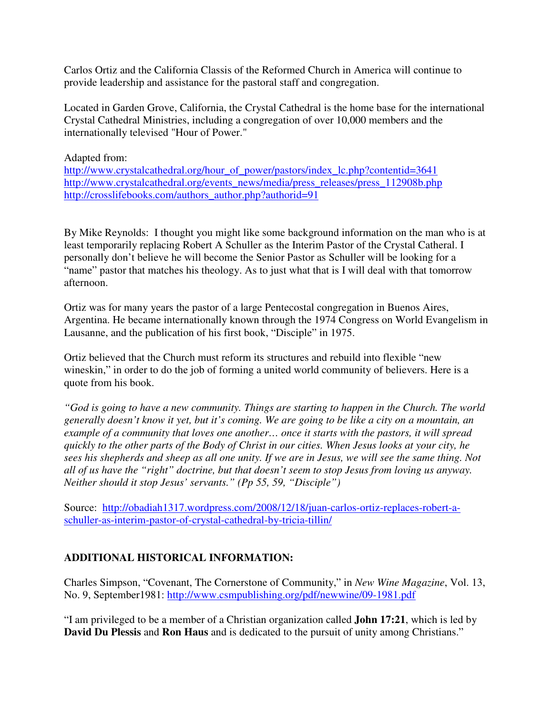Carlos Ortiz and the California Classis of the Reformed Church in America will continue to provide leadership and assistance for the pastoral staff and congregation.

Located in Garden Grove, California, the Crystal Cathedral is the home base for the international Crystal Cathedral Ministries, including a congregation of over 10,000 members and the internationally televised "Hour of Power."

## Adapted from:

http://www.crystalcathedral.org/hour\_of\_power/pastors/index\_lc.php?contentid=3641 http://www.crystalcathedral.org/events\_news/media/press\_releases/press\_112908b.php http://crosslifebooks.com/authors\_author.php?authorid=91

By Mike Reynolds: I thought you might like some background information on the man who is at least temporarily replacing Robert A Schuller as the Interim Pastor of the Crystal Catheral. I personally don't believe he will become the Senior Pastor as Schuller will be looking for a "name" pastor that matches his theology. As to just what that is I will deal with that tomorrow afternoon.

Ortiz was for many years the pastor of a large Pentecostal congregation in Buenos Aires, Argentina. He became internationally known through the 1974 Congress on World Evangelism in Lausanne, and the publication of his first book, "Disciple" in 1975.

Ortiz believed that the Church must reform its structures and rebuild into flexible "new wineskin," in order to do the job of forming a united world community of believers. Here is a quote from his book.

*"God is going to have a new community. Things are starting to happen in the Church. The world generally doesn't know it yet, but it's coming. We are going to be like a city on a mountain, an example of a community that loves one another… once it starts with the pastors, it will spread quickly to the other parts of the Body of Christ in our cities. When Jesus looks at your city, he sees his shepherds and sheep as all one unity. If we are in Jesus, we will see the same thing. Not all of us have the "right" doctrine, but that doesn't seem to stop Jesus from loving us anyway. Neither should it stop Jesus' servants." (Pp 55, 59, "Disciple")*

Source: http://obadiah1317.wordpress.com/2008/12/18/juan-carlos-ortiz-replaces-robert-aschuller-as-interim-pastor-of-crystal-cathedral-by-tricia-tillin/

# **ADDITIONAL HISTORICAL INFORMATION:**

Charles Simpson, "Covenant, The Cornerstone of Community," in *New Wine Magazine*, Vol. 13, No. 9, September1981: http://www.csmpublishing.org/pdf/newwine/09-1981.pdf

"I am privileged to be a member of a Christian organization called **John 17:21**, which is led by **David Du Plessis** and **Ron Haus** and is dedicated to the pursuit of unity among Christians."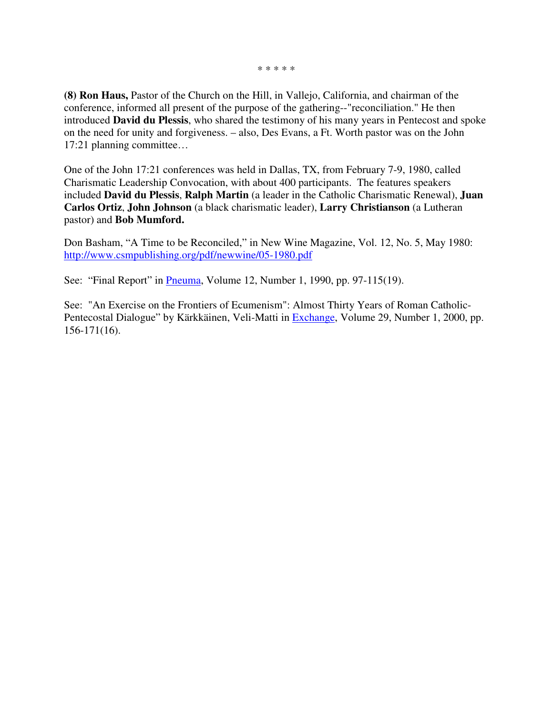\* \* \* \* \*

**(8) Ron Haus,** Pastor of the Church on the Hill, in Vallejo, California, and chairman of the conference, informed all present of the purpose of the gathering--"reconciliation." He then introduced **David du Plessis**, who shared the testimony of his many years in Pentecost and spoke on the need for unity and forgiveness. – also, Des Evans, a Ft. Worth pastor was on the John 17:21 planning committee…

One of the John 17:21 conferences was held in Dallas, TX, from February 7-9, 1980, called Charismatic Leadership Convocation, with about 400 participants. The features speakers included **David du Plessis**, **Ralph Martin** (a leader in the Catholic Charismatic Renewal), **Juan Carlos Ortiz**, **John Johnson** (a black charismatic leader), **Larry Christianson** (a Lutheran pastor) and **Bob Mumford.**

Don Basham, "A Time to be Reconciled," in New Wine Magazine, Vol. 12, No. 5, May 1980: http://www.csmpublishing.org/pdf/newwine/05-1980.pdf

See: "Final Report" in *Pneuma*, Volume 12, Number 1, 1990, pp. 97-115(19).

See: "An Exercise on the Frontiers of Ecumenism": Almost Thirty Years of Roman Catholic-Pentecostal Dialogue" by Kärkkäinen, Veli-Matti in Exchange, Volume 29, Number 1, 2000, pp. 156-171(16).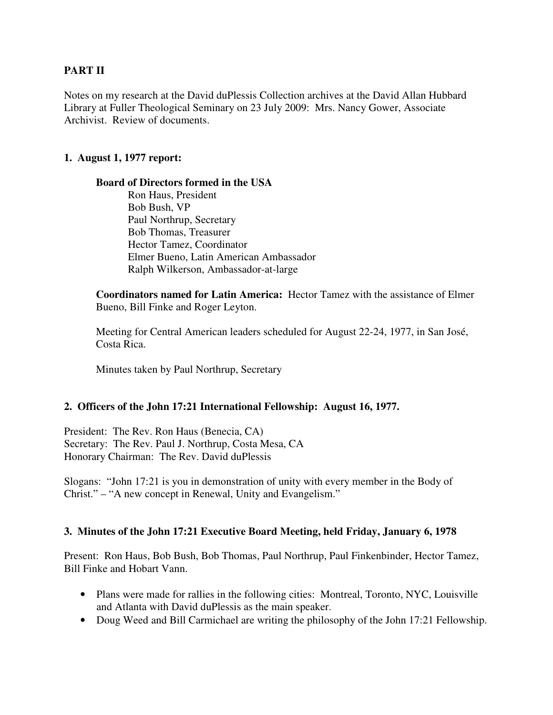## **PART II**

Notes on my research at the David duPlessis Collection archives at the David Allan Hubbard Library at Fuller Theological Seminary on 23 July 2009: Mrs. Nancy Gower, Associate Archivist. Review of documents.

#### **1. August 1, 1977 report:**

#### **Board of Directors formed in the USA**

Ron Haus, President Bob Bush, VP Paul Northrup, Secretary Bob Thomas, Treasurer Hector Tamez, Coordinator Elmer Bueno, Latin American Ambassador Ralph Wilkerson, Ambassador-at-large

**Coordinators named for Latin America:** Hector Tamez with the assistance of Elmer Bueno, Bill Finke and Roger Leyton.

 Meeting for Central American leaders scheduled for August 22-24, 1977, in San José, Costa Rica.

Minutes taken by Paul Northrup, Secretary

#### **2. Officers of the John 17:21 International Fellowship: August 16, 1977.**

President: The Rev. Ron Haus (Benecia, CA) Secretary: The Rev. Paul J. Northrup, Costa Mesa, CA Honorary Chairman: The Rev. David duPlessis

Slogans: "John 17:21 is you in demonstration of unity with every member in the Body of Christ." – "A new concept in Renewal, Unity and Evangelism."

#### **3. Minutes of the John 17:21 Executive Board Meeting, held Friday, January 6, 1978**

Present: Ron Haus, Bob Bush, Bob Thomas, Paul Northrup, Paul Finkenbinder, Hector Tamez, Bill Finke and Hobart Vann.

- Plans were made for rallies in the following cities: Montreal, Toronto, NYC, Louisville and Atlanta with David duPlessis as the main speaker.
- Doug Weed and Bill Carmichael are writing the philosophy of the John 17:21 Fellowship.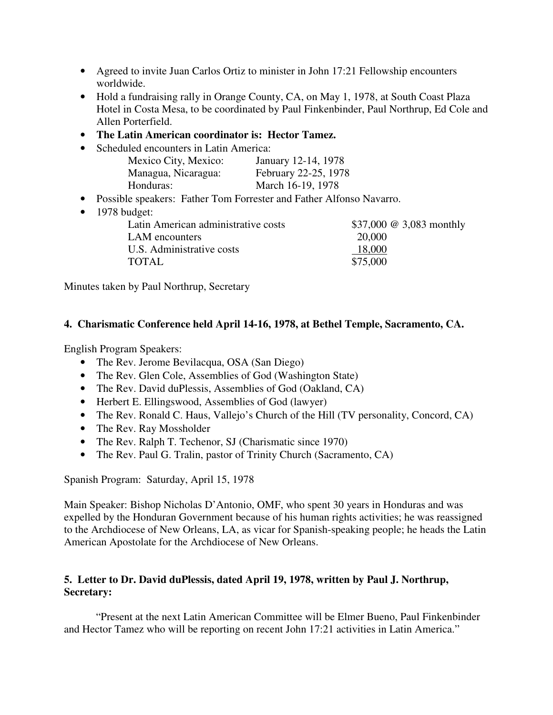- Agreed to invite Juan Carlos Ortiz to minister in John 17:21 Fellowship encounters worldwide.
- Hold a fundraising rally in Orange County, CA, on May 1, 1978, at South Coast Plaza Hotel in Costa Mesa, to be coordinated by Paul Finkenbinder, Paul Northrup, Ed Cole and Allen Porterfield.
- **The Latin American coordinator is: Hector Tamez.**
- Scheduled encounters in Latin America:

| Mexico City, Mexico: | January 12-14, 1978  |
|----------------------|----------------------|
| Managua, Nicaragua:  | February 22-25, 1978 |
| Honduras:            | March 16-19, 1978    |

- Possible speakers: Father Tom Forrester and Father Alfonso Navarro.
- 1978 budget:

| Latin American administrative costs | \$37,000 @ 3,083 monthly |
|-------------------------------------|--------------------------|
| LAM encounters                      | 20,000                   |
| U.S. Administrative costs           | 18,000                   |
| TOTAL                               | \$75,000                 |
|                                     |                          |

Minutes taken by Paul Northrup, Secretary

## **4. Charismatic Conference held April 14-16, 1978, at Bethel Temple, Sacramento, CA.**

English Program Speakers:

- The Rev. Jerome Bevilacqua, OSA (San Diego)
- The Rev. Glen Cole, Assemblies of God (Washington State)
- The Rev. David duPlessis, Assemblies of God (Oakland, CA)
- Herbert E. Ellingswood, Assemblies of God (lawyer)
- The Rev. Ronald C. Haus, Vallejo's Church of the Hill (TV personality, Concord, CA)
- The Rev. Ray Mossholder
- The Rev. Ralph T. Techenor, SJ (Charismatic since 1970)
- The Rev. Paul G. Tralin, pastor of Trinity Church (Sacramento, CA)

Spanish Program: Saturday, April 15, 1978

Main Speaker: Bishop Nicholas D'Antonio, OMF, who spent 30 years in Honduras and was expelled by the Honduran Government because of his human rights activities; he was reassigned to the Archdiocese of New Orleans, LA, as vicar for Spanish-speaking people; he heads the Latin American Apostolate for the Archdiocese of New Orleans.

# **5. Letter to Dr. David duPlessis, dated April 19, 1978, written by Paul J. Northrup, Secretary:**

 "Present at the next Latin American Committee will be Elmer Bueno, Paul Finkenbinder and Hector Tamez who will be reporting on recent John 17:21 activities in Latin America."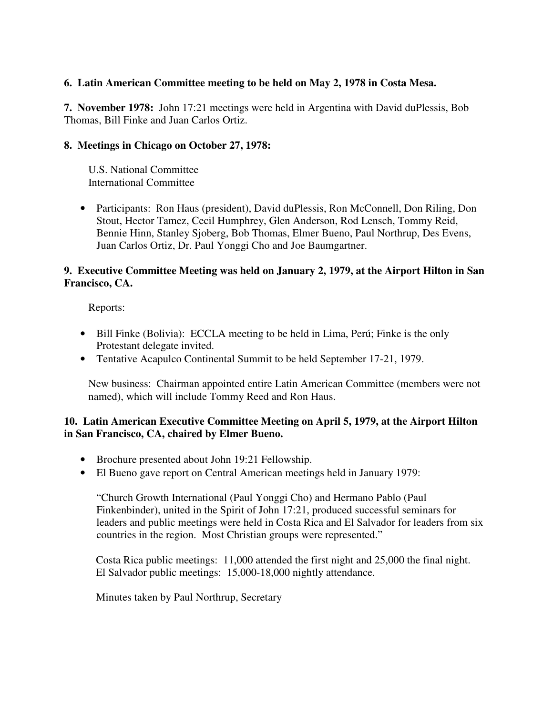#### **6. Latin American Committee meeting to be held on May 2, 1978 in Costa Mesa.**

**7. November 1978:** John 17:21 meetings were held in Argentina with David duPlessis, Bob Thomas, Bill Finke and Juan Carlos Ortiz.

#### **8. Meetings in Chicago on October 27, 1978:**

 U.S. National Committee International Committee

• Participants: Ron Haus (president), David duPlessis, Ron McConnell, Don Riling, Don Stout, Hector Tamez, Cecil Humphrey, Glen Anderson, Rod Lensch, Tommy Reid, Bennie Hinn, Stanley Sjoberg, Bob Thomas, Elmer Bueno, Paul Northrup, Des Evens, Juan Carlos Ortiz, Dr. Paul Yonggi Cho and Joe Baumgartner.

#### **9. Executive Committee Meeting was held on January 2, 1979, at the Airport Hilton in San Francisco, CA.**

Reports:

- Bill Finke (Bolivia): ECCLA meeting to be held in Lima, Perú; Finke is the only Protestant delegate invited.
- Tentative Acapulco Continental Summit to be held September 17-21, 1979.

New business: Chairman appointed entire Latin American Committee (members were not named), which will include Tommy Reed and Ron Haus.

## **10. Latin American Executive Committee Meeting on April 5, 1979, at the Airport Hilton in San Francisco, CA, chaired by Elmer Bueno.**

- Brochure presented about John 19:21 Fellowship.
- El Bueno gave report on Central American meetings held in January 1979:

"Church Growth International (Paul Yonggi Cho) and Hermano Pablo (Paul Finkenbinder), united in the Spirit of John 17:21, produced successful seminars for leaders and public meetings were held in Costa Rica and El Salvador for leaders from six countries in the region. Most Christian groups were represented."

 Costa Rica public meetings: 11,000 attended the first night and 25,000 the final night. El Salvador public meetings: 15,000-18,000 nightly attendance.

Minutes taken by Paul Northrup, Secretary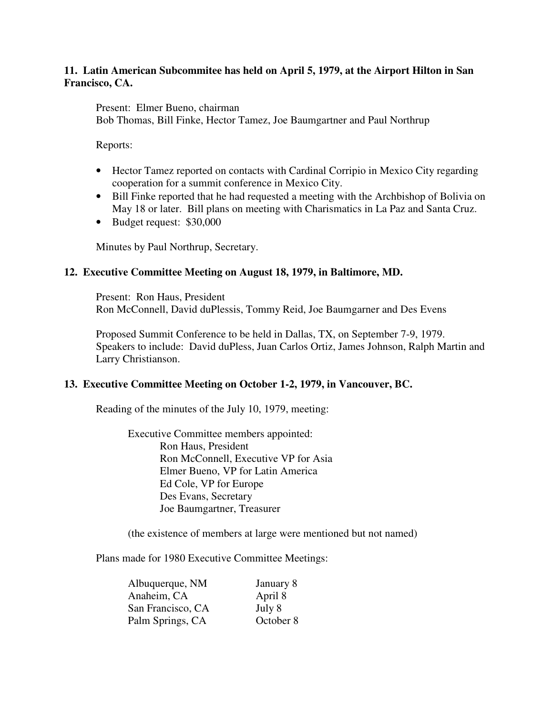#### **11. Latin American Subcommitee has held on April 5, 1979, at the Airport Hilton in San Francisco, CA.**

Present: Elmer Bueno, chairman

Bob Thomas, Bill Finke, Hector Tamez, Joe Baumgartner and Paul Northrup

Reports:

- Hector Tamez reported on contacts with Cardinal Corripio in Mexico City regarding cooperation for a summit conference in Mexico City.
- Bill Finke reported that he had requested a meeting with the Archbishop of Bolivia on May 18 or later. Bill plans on meeting with Charismatics in La Paz and Santa Cruz.
- Budget request: \$30,000

Minutes by Paul Northrup, Secretary.

#### **12. Executive Committee Meeting on August 18, 1979, in Baltimore, MD.**

 Present: Ron Haus, President Ron McConnell, David duPlessis, Tommy Reid, Joe Baumgarner and Des Evens

 Proposed Summit Conference to be held in Dallas, TX, on September 7-9, 1979. Speakers to include: David duPless, Juan Carlos Ortiz, James Johnson, Ralph Martin and Larry Christianson.

#### **13. Executive Committee Meeting on October 1-2, 1979, in Vancouver, BC.**

Reading of the minutes of the July 10, 1979, meeting:

 Executive Committee members appointed: Ron Haus, President Ron McConnell, Executive VP for Asia Elmer Bueno, VP for Latin America Ed Cole, VP for Europe Des Evans, Secretary Joe Baumgartner, Treasurer

(the existence of members at large were mentioned but not named)

Plans made for 1980 Executive Committee Meetings:

| Albuquerque, NM   | January 8 |
|-------------------|-----------|
| Anaheim, CA       | April 8   |
| San Francisco, CA | July 8    |
| Palm Springs, CA  | October 8 |